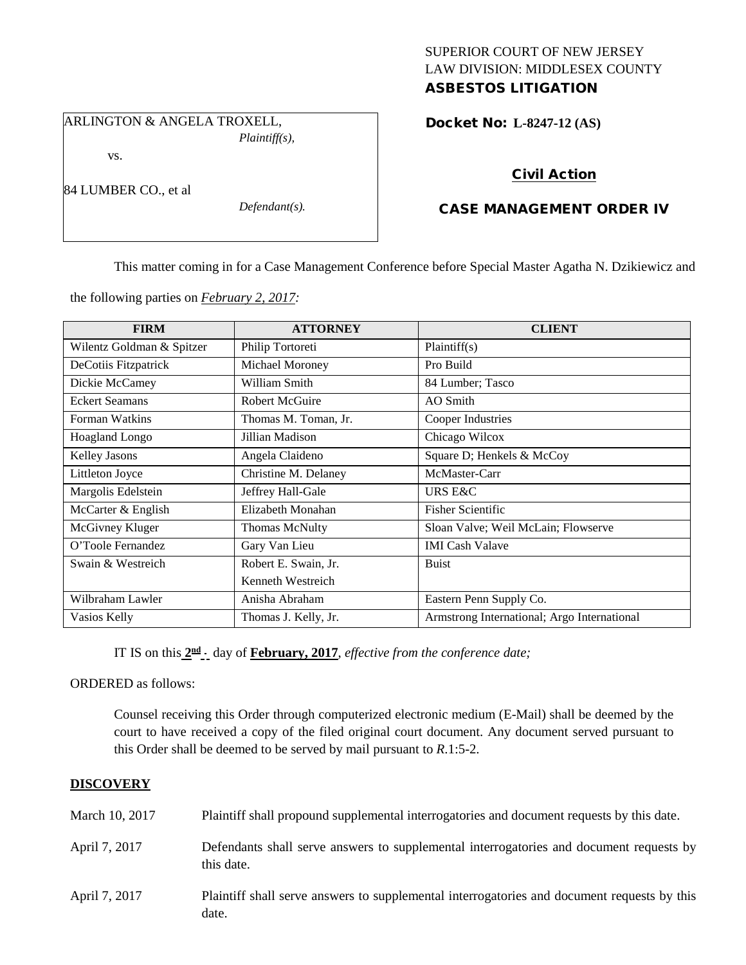## SUPERIOR COURT OF NEW JERSEY LAW DIVISION: MIDDLESEX COUNTY ASBESTOS LITIGATION

ARLINGTON & ANGELA TROXELL,

*Plaintiff(s),*

vs.

84 LUMBER CO., et al

*Defendant(s).*

Docket No: **L-8247-12 (AS)** 

# Civil Action

## CASE MANAGEMENT ORDER IV

This matter coming in for a Case Management Conference before Special Master Agatha N. Dzikiewicz and

the following parties on *February 2, 2017:*

| <b>FIRM</b>               | <b>ATTORNEY</b>       | <b>CLIENT</b>                               |
|---------------------------|-----------------------|---------------------------------------------|
| Wilentz Goldman & Spitzer | Philip Tortoreti      | Plaintiff(s)                                |
| DeCotiis Fitzpatrick      | Michael Moroney       | Pro Build                                   |
| Dickie McCamey            | William Smith         | 84 Lumber; Tasco                            |
| <b>Eckert Seamans</b>     | <b>Robert McGuire</b> | AO Smith                                    |
| Forman Watkins            | Thomas M. Toman, Jr.  | Cooper Industries                           |
| <b>Hoagland Longo</b>     | Jillian Madison       | Chicago Wilcox                              |
| <b>Kelley Jasons</b>      | Angela Claideno       | Square D; Henkels & McCoy                   |
| Littleton Joyce           | Christine M. Delaney  | McMaster-Carr                               |
| Margolis Edelstein        | Jeffrey Hall-Gale     | URS E&C                                     |
| McCarter & English        | Elizabeth Monahan     | <b>Fisher Scientific</b>                    |
| McGivney Kluger           | <b>Thomas McNulty</b> | Sloan Valve; Weil McLain; Flowserve         |
| O'Toole Fernandez         | Gary Van Lieu         | <b>IMI</b> Cash Valave                      |
| Swain & Westreich         | Robert E. Swain, Jr.  | <b>Buist</b>                                |
|                           | Kenneth Westreich     |                                             |
| Wilbraham Lawler          | Anisha Abraham        | Eastern Penn Supply Co.                     |
| Vasios Kelly              | Thomas J. Kelly, Jr.  | Armstrong International; Argo International |

IT IS on this  $2^{\text{nd}}$  day of **February, 2017**, *effective from the conference date;* 

ORDERED as follows:

Counsel receiving this Order through computerized electronic medium (E-Mail) shall be deemed by the court to have received a copy of the filed original court document. Any document served pursuant to this Order shall be deemed to be served by mail pursuant to *R*.1:5-2.

## **DISCOVERY**

| March 10, 2017 | Plaintiff shall propound supplemental interrogatories and document requests by this date.             |
|----------------|-------------------------------------------------------------------------------------------------------|
| April 7, 2017  | Defendants shall serve answers to supplemental interrogatories and document requests by<br>this date. |
| April 7, 2017  | Plaintiff shall serve answers to supplemental interrogatories and document requests by this<br>date.  |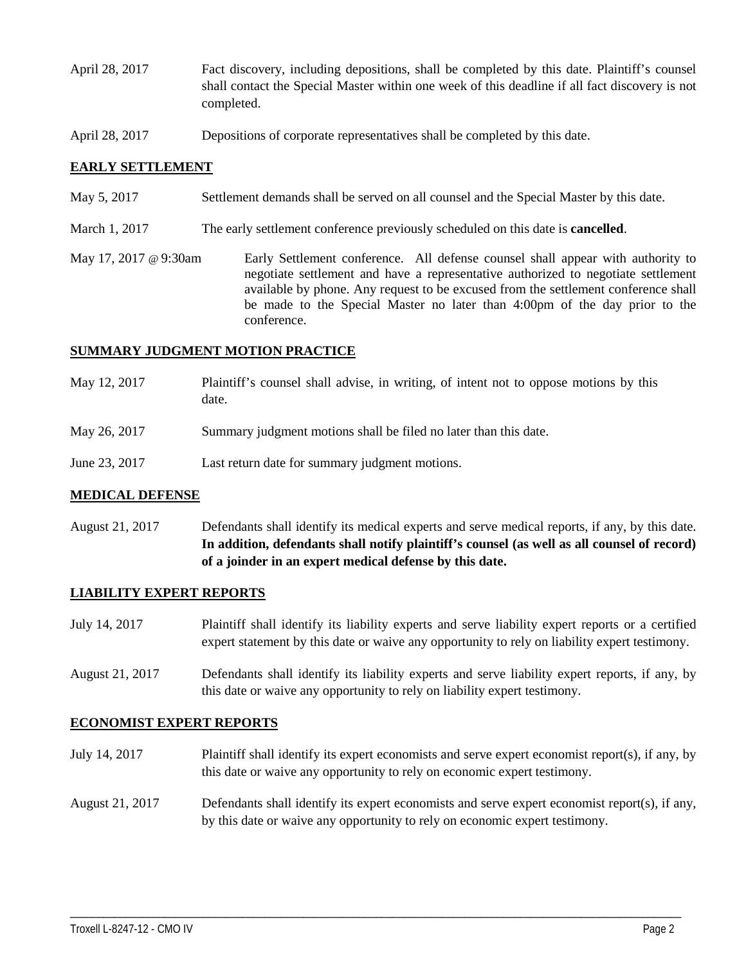- April 28, 2017 Fact discovery, including depositions, shall be completed by this date. Plaintiff's counsel shall contact the Special Master within one week of this deadline if all fact discovery is not completed.
- April 28, 2017 Depositions of corporate representatives shall be completed by this date.

### **EARLY SETTLEMENT**

- May 5, 2017 Settlement demands shall be served on all counsel and the Special Master by this date.
- March 1, 2017 The early settlement conference previously scheduled on this date is **cancelled**.
- May 17, 2017 @ 9:30am Early Settlement conference. All defense counsel shall appear with authority to negotiate settlement and have a representative authorized to negotiate settlement available by phone. Any request to be excused from the settlement conference shall be made to the Special Master no later than 4:00pm of the day prior to the conference.

#### **SUMMARY JUDGMENT MOTION PRACTICE**

- May 12, 2017 Plaintiff's counsel shall advise, in writing, of intent not to oppose motions by this date.
- May 26, 2017 Summary judgment motions shall be filed no later than this date.
- June 23, 2017 Last return date for summary judgment motions.

#### **MEDICAL DEFENSE**

August 21, 2017 Defendants shall identify its medical experts and serve medical reports, if any, by this date. **In addition, defendants shall notify plaintiff's counsel (as well as all counsel of record) of a joinder in an expert medical defense by this date.**

#### **LIABILITY EXPERT REPORTS**

- July 14, 2017 Plaintiff shall identify its liability experts and serve liability expert reports or a certified expert statement by this date or waive any opportunity to rely on liability expert testimony.
- August 21, 2017 Defendants shall identify its liability experts and serve liability expert reports, if any, by this date or waive any opportunity to rely on liability expert testimony.

#### **ECONOMIST EXPERT REPORTS**

- July 14, 2017 Plaintiff shall identify its expert economists and serve expert economist report(s), if any, by this date or waive any opportunity to rely on economic expert testimony.
- August 21, 2017 Defendants shall identify its expert economists and serve expert economist report(s), if any, by this date or waive any opportunity to rely on economic expert testimony.

\_\_\_\_\_\_\_\_\_\_\_\_\_\_\_\_\_\_\_\_\_\_\_\_\_\_\_\_\_\_\_\_\_\_\_\_\_\_\_\_\_\_\_\_\_\_\_\_\_\_\_\_\_\_\_\_\_\_\_\_\_\_\_\_\_\_\_\_\_\_\_\_\_\_\_\_\_\_\_\_\_\_\_\_\_\_\_\_\_\_\_\_\_\_\_\_\_\_\_\_\_\_\_\_\_\_\_\_\_\_